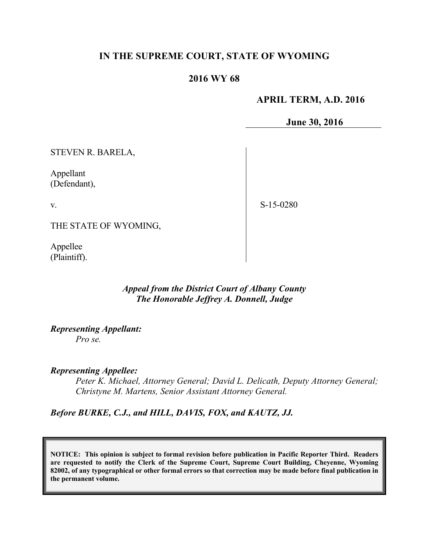# **IN THE SUPREME COURT, STATE OF WYOMING**

## **2016 WY 68**

### **APRIL TERM, A.D. 2016**

**June 30, 2016**

STEVEN R. BARELA,

Appellant (Defendant),

v.

S-15-0280

THE STATE OF WYOMING,

Appellee (Plaintiff).

## *Appeal from the District Court of Albany County The Honorable Jeffrey A. Donnell, Judge*

*Representing Appellant:*

*Pro se.*

### *Representing Appellee:*

*Peter K. Michael, Attorney General; David L. Delicath, Deputy Attorney General; Christyne M. Martens, Senior Assistant Attorney General.* 

*Before BURKE, C.J., and HILL, DAVIS, FOX, and KAUTZ, JJ.*

**NOTICE: This opinion is subject to formal revision before publication in Pacific Reporter Third. Readers are requested to notify the Clerk of the Supreme Court, Supreme Court Building, Cheyenne, Wyoming 82002, of any typographical or other formal errors so that correction may be made before final publication in the permanent volume.**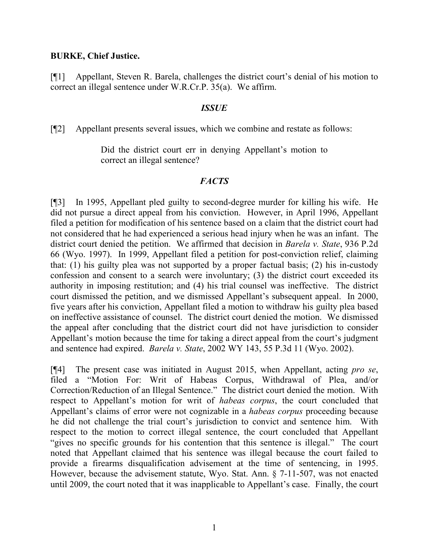### **BURKE, Chief Justice.**

[¶1] Appellant, Steven R. Barela, challenges the district court's denial of his motion to correct an illegal sentence under W.R.Cr.P. 35(a). We affirm.

#### *ISSUE*

[¶2] Appellant presents several issues, which we combine and restate as follows:

Did the district court err in denying Appellant's motion to correct an illegal sentence?

#### *FACTS*

[¶3] In 1995, Appellant pled guilty to second-degree murder for killing his wife. He did not pursue a direct appeal from his conviction. However, in April 1996, Appellant filed a petition for modification of his sentence based on a claim that the district court had not considered that he had experienced a serious head injury when he was an infant. The district court denied the petition. We affirmed that decision in *Barela v. State*, 936 P.2d 66 (Wyo. 1997). In 1999, Appellant filed a petition for post-conviction relief, claiming that: (1) his guilty plea was not supported by a proper factual basis; (2) his in-custody confession and consent to a search were involuntary; (3) the district court exceeded its authority in imposing restitution; and (4) his trial counsel was ineffective. The district court dismissed the petition, and we dismissed Appellant's subsequent appeal. In 2000, five years after his conviction, Appellant filed a motion to withdraw his guilty plea based on ineffective assistance of counsel. The district court denied the motion. We dismissed the appeal after concluding that the district court did not have jurisdiction to consider Appellant's motion because the time for taking a direct appeal from the court's judgment and sentence had expired. *Barela v. State*, 2002 WY 143, 55 P.3d 11 (Wyo. 2002).

[¶4] The present case was initiated in August 2015, when Appellant, acting *pro se*, filed a "Motion For: Writ of Habeas Corpus, Withdrawal of Plea, and/or Correction/Reduction of an Illegal Sentence." The district court denied the motion. With respect to Appellant's motion for writ of *habeas corpus*, the court concluded that Appellant's claims of error were not cognizable in a *habeas corpus* proceeding because he did not challenge the trial court's jurisdiction to convict and sentence him. With respect to the motion to correct illegal sentence, the court concluded that Appellant "gives no specific grounds for his contention that this sentence is illegal." The court noted that Appellant claimed that his sentence was illegal because the court failed to provide a firearms disqualification advisement at the time of sentencing, in 1995. However, because the advisement statute, Wyo. Stat. Ann. § 7-11-507, was not enacted until 2009, the court noted that it was inapplicable to Appellant's case. Finally, the court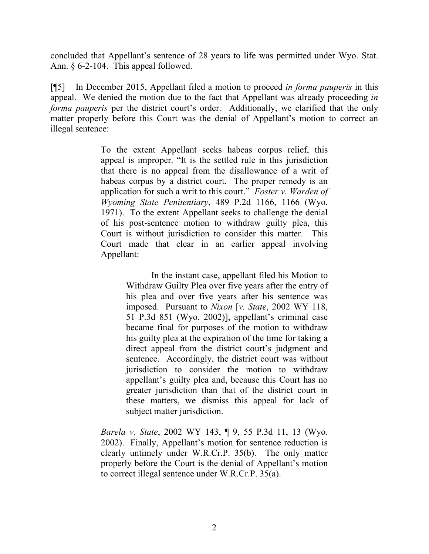concluded that Appellant's sentence of 28 years to life was permitted under Wyo. Stat. Ann. § 6-2-104. This appeal followed.

[¶5] In December 2015, Appellant filed a motion to proceed *in forma pauperis* in this appeal. We denied the motion due to the fact that Appellant was already proceeding *in forma pauperis* per the district court's order. Additionally, we clarified that the only matter properly before this Court was the denial of Appellant's motion to correct an illegal sentence:

> To the extent Appellant seeks habeas corpus relief, this appeal is improper. "It is the settled rule in this jurisdiction that there is no appeal from the disallowance of a writ of habeas corpus by a district court. The proper remedy is an application for such a writ to this court." *Foster v. Warden of Wyoming State Penitentiary*, 489 P.2d 1166, 1166 (Wyo. 1971). To the extent Appellant seeks to challenge the denial of his post-sentence motion to withdraw guilty plea, this Court is without jurisdiction to consider this matter. This Court made that clear in an earlier appeal involving Appellant:

> > In the instant case, appellant filed his Motion to Withdraw Guilty Plea over five years after the entry of his plea and over five years after his sentence was imposed. Pursuant to *Nixon* [*v. State*, 2002 WY 118, 51 P.3d 851 (Wyo. 2002)], appellant's criminal case became final for purposes of the motion to withdraw his guilty plea at the expiration of the time for taking a direct appeal from the district court's judgment and sentence. Accordingly, the district court was without jurisdiction to consider the motion to withdraw appellant's guilty plea and, because this Court has no greater jurisdiction than that of the district court in these matters, we dismiss this appeal for lack of subject matter jurisdiction.

*Barela v. State*, 2002 WY 143, ¶ 9, 55 P.3d 11, 13 (Wyo. 2002). Finally, Appellant's motion for sentence reduction is clearly untimely under W.R.Cr.P. 35(b). The only matter properly before the Court is the denial of Appellant's motion to correct illegal sentence under W.R.Cr.P. 35(a).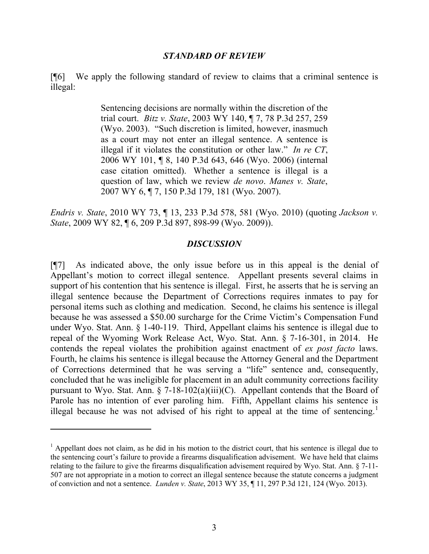#### *STANDARD OF REVIEW*

[¶6] We apply the following standard of review to claims that a criminal sentence is illegal:

> Sentencing decisions are normally within the discretion of the trial court. *Bitz v. State*, 2003 WY 140, ¶ 7, 78 P.3d 257, 259 (Wyo. 2003). "Such discretion is limited, however, inasmuch as a court may not enter an illegal sentence. A sentence is illegal if it violates the constitution or other law." *In re CT*, 2006 WY 101, ¶ 8, 140 P.3d 643, 646 (Wyo. 2006) (internal case citation omitted). Whether a sentence is illegal is a question of law, which we review *de novo*. *Manes v. State*, 2007 WY 6, ¶ 7, 150 P.3d 179, 181 (Wyo. 2007).

*Endris v. State*, 2010 WY 73, ¶ 13, 233 P.3d 578, 581 (Wyo. 2010) (quoting *Jackson v. State*, 2009 WY 82, ¶ 6, 209 P.3d 897, 898-99 (Wyo. 2009)).

#### *DISCUSSION*

[¶7] As indicated above, the only issue before us in this appeal is the denial of Appellant's motion to correct illegal sentence. Appellant presents several claims in support of his contention that his sentence is illegal. First, he asserts that he is serving an illegal sentence because the Department of Corrections requires inmates to pay for personal items such as clothing and medication. Second, he claims his sentence is illegal because he was assessed a \$50.00 surcharge for the Crime Victim's Compensation Fund under Wyo. Stat. Ann. § 1-40-119. Third, Appellant claims his sentence is illegal due to repeal of the Wyoming Work Release Act, Wyo. Stat. Ann. § 7-16-301, in 2014. He contends the repeal violates the prohibition against enactment of *ex post facto* laws. Fourth, he claims his sentence is illegal because the Attorney General and the Department of Corrections determined that he was serving a "life" sentence and, consequently, concluded that he was ineligible for placement in an adult community corrections facility pursuant to Wyo. Stat. Ann.  $\S$  7-18-102(a)(iii)(C). Appellant contends that the Board of Parole has no intention of ever paroling him. Fifth, Appellant claims his sentence is illegal because he was not advised of his right to appeal at the time of sentencing.<sup>1</sup>

 $\overline{a}$ 

<sup>&</sup>lt;sup>1</sup> Appellant does not claim, as he did in his motion to the district court, that his sentence is illegal due to the sentencing court's failure to provide a firearms disqualification advisement. We have held that claims relating to the failure to give the firearms disqualification advisement required by Wyo. Stat. Ann. § 7-11- 507 are not appropriate in a motion to correct an illegal sentence because the statute concerns a judgment of conviction and not a sentence. *Lunden v. State*, 2013 WY 35, ¶ 11, 297 P.3d 121, 124 (Wyo. 2013).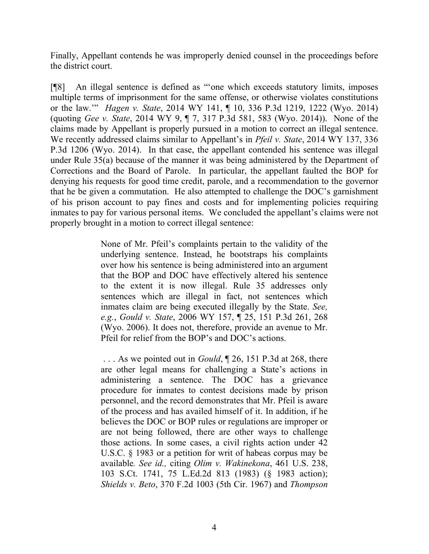Finally, Appellant contends he was improperly denied counsel in the proceedings before the district court.

[¶8] An illegal sentence is defined as "'one which exceeds statutory limits, imposes multiple terms of imprisonment for the same offense, or otherwise violates constitutions or the law.'" *Hagen v. State*, 2014 WY 141, ¶ 10, 336 P.3d 1219, 1222 (Wyo. 2014) (quoting *Gee v. State*, 2014 WY 9, ¶ 7, 317 P.3d 581, 583 (Wyo. 2014)). None of the claims made by Appellant is properly pursued in a motion to correct an illegal sentence. We recently addressed claims similar to Appellant's in *Pfeil v. State*, 2014 WY 137, 336 P.3d 1206 (Wyo. 2014). In that case, the appellant contended his sentence was illegal under Rule 35(a) because of the manner it was being administered by the Department of Corrections and the Board of Parole. In particular, the appellant faulted the BOP for denying his requests for good time credit, parole, and a recommendation to the governor that he be given a commutation. He also attempted to challenge the DOC's garnishment of his prison account to pay fines and costs and for implementing policies requiring inmates to pay for various personal items. We concluded the appellant's claims were not properly brought in a motion to correct illegal sentence:

> None of Mr. Pfeil's complaints pertain to the validity of the underlying sentence. Instead, he bootstraps his complaints over how his sentence is being administered into an argument that the BOP and DOC have effectively altered his sentence to the extent it is now illegal. Rule 35 addresses only sentences which are illegal in fact, not sentences which inmates claim are being executed illegally by the State. *See, e.g.*, *Gould v. State*, 2006 WY 157, ¶ 25, 151 P.3d 261, 268 (Wyo. 2006). It does not, therefore, provide an avenue to Mr. Pfeil for relief from the BOP's and DOC's actions.

> . . . As we pointed out in *Gould*, ¶ 26, 151 P.3d at 268, there are other legal means for challenging a State's actions in administering a sentence. The DOC has a grievance procedure for inmates to contest decisions made by prison personnel, and the record demonstrates that Mr. Pfeil is aware of the process and has availed himself of it. In addition, if he believes the DOC or BOP rules or regulations are improper or are not being followed, there are other ways to challenge those actions. In some cases, a civil rights action under 42 U.S.C. § 1983 or a petition for writ of habeas corpus may be available*. See id.,* citing *Olim v. Wakinekona*, 461 U.S. 238, 103 S.Ct. 1741, 75 L.Ed.2d 813 (1983) (§ 1983 action); *Shields v. Beto*, 370 F.2d 1003 (5th Cir. 1967) and *Thompson*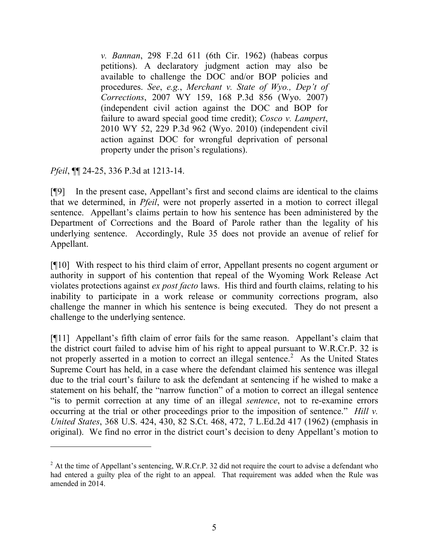*v. Bannan*, 298 F.2d 611 (6th Cir. 1962) (habeas corpus petitions). A declaratory judgment action may also be available to challenge the DOC and/or BOP policies and procedures. *See*, *e.g.*, *Merchant v. State of Wyo., Dep't of Corrections*, 2007 WY 159, 168 P.3d 856 (Wyo. 2007) (independent civil action against the DOC and BOP for failure to award special good time credit); *Cosco v. Lampert*, 2010 WY 52, 229 P.3d 962 (Wyo. 2010) (independent civil action against DOC for wrongful deprivation of personal property under the prison's regulations).

*Pfeil*, ¶¶ 24-25, 336 P.3d at 1213-14.

[¶9] In the present case, Appellant's first and second claims are identical to the claims that we determined, in *Pfeil*, were not properly asserted in a motion to correct illegal sentence. Appellant's claims pertain to how his sentence has been administered by the Department of Corrections and the Board of Parole rather than the legality of his underlying sentence. Accordingly, Rule 35 does not provide an avenue of relief for Appellant.

[¶10] With respect to his third claim of error, Appellant presents no cogent argument or authority in support of his contention that repeal of the Wyoming Work Release Act violates protections against *ex post facto* laws. His third and fourth claims, relating to his inability to participate in a work release or community corrections program, also challenge the manner in which his sentence is being executed. They do not present a challenge to the underlying sentence.

[¶11] Appellant's fifth claim of error fails for the same reason. Appellant's claim that the district court failed to advise him of his right to appeal pursuant to W.R.Cr.P. 32 is not properly asserted in a motion to correct an illegal sentence.<sup>2</sup> As the United States Supreme Court has held, in a case where the defendant claimed his sentence was illegal due to the trial court's failure to ask the defendant at sentencing if he wished to make a statement on his behalf, the "narrow function" of a motion to correct an illegal sentence "is to permit correction at any time of an illegal *sentence*, not to re-examine errors occurring at the trial or other proceedings prior to the imposition of sentence." *Hill v. United States*, 368 U.S. 424, 430, 82 S.Ct. 468, 472, 7 L.Ed.2d 417 (1962) (emphasis in original). We find no error in the district court's decision to deny Appellant's motion to

<sup>&</sup>lt;sup>2</sup> At the time of Appellant's sentencing, W.R.Cr.P. 32 did not require the court to advise a defendant who had entered a guilty plea of the right to an appeal. That requirement was added when the Rule was amended in 2014.